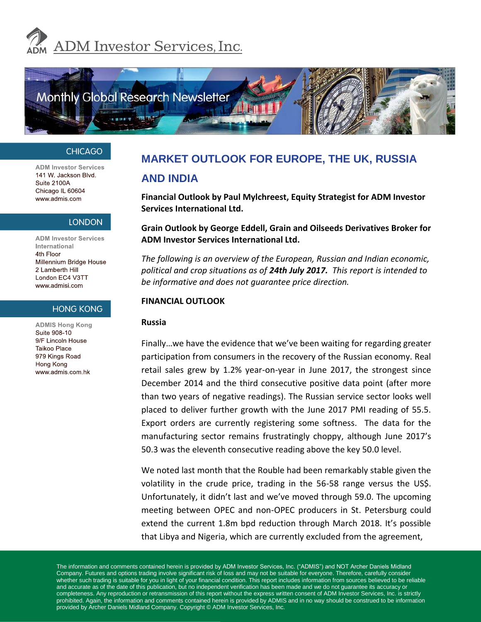



#### **CHICAGO**

**ADM Investor Services** 141 W. Jackson Blvd. Suite 2100A Chicago IL 60604 www.admis.com

#### **LONDON**

**ADM Investor Services** International 4th Floor Millennium Bridge House 2 Lamberth Hill London EC4 V3TT www.admisi.com

#### **HONG KONG**

**ADMIS Hong Kong** Suite 908-10 9/F Lincoln House Taikoo Place 979 Kings Road Hong Kong www.admis.com.hk

## **MARKET OUTLOOK FOR EUROPE, THE UK, RUSSIA AND INDIA**

**Financial Outlook by Paul Mylchreest, Equity Strategist for ADM Investor Services International Ltd.**

#### **Grain Outlook by George Eddell, Grain and Oilseeds Derivatives Broker for ADM Investor Services International Ltd.**

*The following is an overview of the European, Russian and Indian economic, political and crop situations as of 24th July 2017. This report is intended to be informative and does not guarantee price direction.*

#### **FINANCIAL OUTLOOK**

#### **Russia**

Finally…we have the evidence that we've been waiting for regarding greater participation from consumers in the recovery of the Russian economy. Real retail sales grew by 1.2% year-on-year in June 2017, the strongest since December 2014 and the third consecutive positive data point (after more than two years of negative readings). The Russian service sector looks well placed to deliver further growth with the June 2017 PMI reading of 55.5. Export orders are currently registering some softness. The data for the manufacturing sector remains frustratingly choppy, although June 2017's 50.3 was the eleventh consecutive reading above the key 50.0 level.

We noted last month that the Rouble had been remarkably stable given the volatility in the crude price, trading in the 56-58 range versus the US\$. Unfortunately, it didn't last and we've moved through 59.0. The upcoming meeting between OPEC and non-OPEC producers in St. Petersburg could extend the current 1.8m bpd reduction through March 2018. It's possible that Libya and Nigeria, which are currently excluded from the agreement,

The information and comments contained herein is provided by ADM Investor Services, Inc. ("ADMIS") and NOT Archer Daniels Midland Company. Futures and options trading involve significant risk of loss and may not be suitable for everyone. Therefore, carefully consider whether such trading is suitable for you in light of your financial condition. This report includes information from sources believed to be reliable and accurate as of the date of this publication, but no independent verification has been made and we do not guarantee its accuracy or completeness. Any reproduction or retransmission of this report without the express written consent of ADM Investor Services, Inc. is strictly prohibited. Again, the information and comments contained herein is provided by ADMIS and in no way should be construed to be information provided by Archer Daniels Midland Company. Copyright © ADM Investor Services, Inc.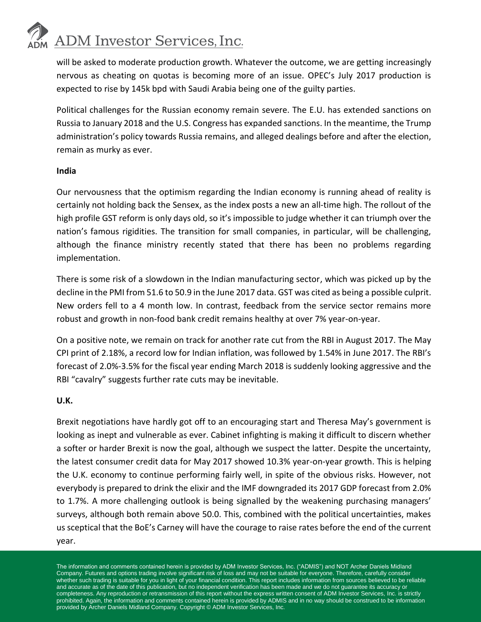## **ADM** Investor Services, Inc.

will be asked to moderate production growth. Whatever the outcome, we are getting increasingly nervous as cheating on quotas is becoming more of an issue. OPEC's July 2017 production is expected to rise by 145k bpd with Saudi Arabia being one of the guilty parties.

Political challenges for the Russian economy remain severe. The E.U. has extended sanctions on Russia to January 2018 and the U.S. Congress has expanded sanctions. In the meantime, the Trump administration's policy towards Russia remains, and alleged dealings before and after the election, remain as murky as ever.

#### **India**

Our nervousness that the optimism regarding the Indian economy is running ahead of reality is certainly not holding back the Sensex, as the index posts a new an all-time high. The rollout of the high profile GST reform is only days old, so it's impossible to judge whether it can triumph over the nation's famous rigidities. The transition for small companies, in particular, will be challenging, although the finance ministry recently stated that there has been no problems regarding implementation.

There is some risk of a slowdown in the Indian manufacturing sector, which was picked up by the decline in the PMI from 51.6 to 50.9 in the June 2017 data. GST was cited as being a possible culprit. New orders fell to a 4 month low. In contrast, feedback from the service sector remains more robust and growth in non-food bank credit remains healthy at over 7% year-on-year.

On a positive note, we remain on track for another rate cut from the RBI in August 2017. The May CPI print of 2.18%, a record low for Indian inflation, was followed by 1.54% in June 2017. The RBI's forecast of 2.0%-3.5% for the fiscal year ending March 2018 is suddenly looking aggressive and the RBI "cavalry" suggests further rate cuts may be inevitable.

## **U.K.**

Brexit negotiations have hardly got off to an encouraging start and Theresa May's government is looking as inept and vulnerable as ever. Cabinet infighting is making it difficult to discern whether a softer or harder Brexit is now the goal, although we suspect the latter. Despite the uncertainty, the latest consumer credit data for May 2017 showed 10.3% year-on-year growth. This is helping the U.K. economy to continue performing fairly well, in spite of the obvious risks. However, not everybody is prepared to drink the elixir and the IMF downgraded its 2017 GDP forecast from 2.0% to 1.7%. A more challenging outlook is being signalled by the weakening purchasing managers' surveys, although both remain above 50.0. This, combined with the political uncertainties, makes us sceptical that the BoE's Carney will have the courage to raise rates before the end of the current year.

The information and comments contained herein is provided by ADM Investor Services, Inc. ("ADMIS") and NOT Archer Daniels Midland Company. Futures and options trading involve significant risk of loss and may not be suitable for everyone. Therefore, carefully consider whether such trading is suitable for you in light of your financial condition. This report includes information from sources believed to be reliable and accurate as of the date of this publication, but no independent verification has been made and we do not guarantee its accuracy or completeness. Any reproduction or retransmission of this report without the express written consent of ADM Investor Services, Inc. is strictly prohibited. Again, the information and comments contained herein is provided by ADMIS and in no way should be construed to be information provided by Archer Daniels Midland Company. Copyright © ADM Investor Services, Inc.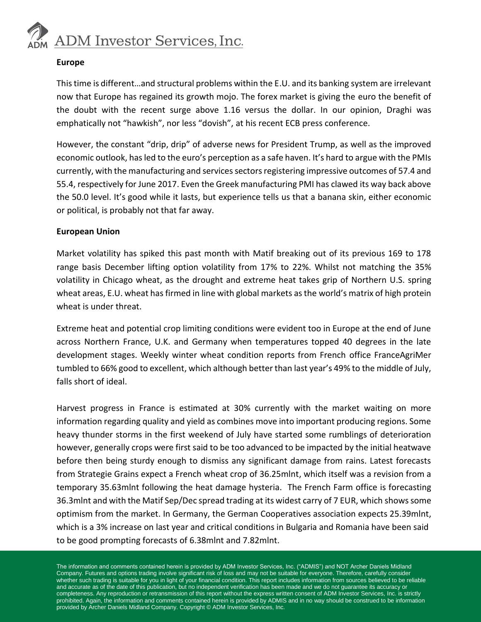

#### **Europe**

This time is different…and structural problems within the E.U. and its banking system are irrelevant now that Europe has regained its growth mojo. The forex market is giving the euro the benefit of the doubt with the recent surge above 1.16 versus the dollar. In our opinion, Draghi was emphatically not "hawkish", nor less "dovish", at his recent ECB press conference.

However, the constant "drip, drip" of adverse news for President Trump, as well as the improved economic outlook, has led to the euro's perception as a safe haven. It's hard to argue with the PMIs currently, with the manufacturing and services sectors registering impressive outcomes of 57.4 and 55.4, respectively for June 2017. Even the Greek manufacturing PMI has clawed its way back above the 50.0 level. It's good while it lasts, but experience tells us that a banana skin, either economic or political, is probably not that far away.

#### **European Union**

Market volatility has spiked this past month with Matif breaking out of its previous 169 to 178 range basis December lifting option volatility from 17% to 22%. Whilst not matching the 35% volatility in Chicago wheat, as the drought and extreme heat takes grip of Northern U.S. spring wheat areas, E.U. wheat has firmed in line with global markets as the world's matrix of high protein wheat is under threat.

Extreme heat and potential crop limiting conditions were evident too in Europe at the end of June across Northern France, U.K. and Germany when temperatures topped 40 degrees in the late development stages. Weekly winter wheat condition reports from French office FranceAgriMer tumbled to 66% good to excellent, which although better than last year's 49% to the middle of July, falls short of ideal.

Harvest progress in France is estimated at 30% currently with the market waiting on more information regarding quality and yield as combines move into important producing regions. Some heavy thunder storms in the first weekend of July have started some rumblings of deterioration however, generally crops were first said to be too advanced to be impacted by the initial heatwave before then being sturdy enough to dismiss any significant damage from rains. Latest forecasts from Strategie Grains expect a French wheat crop of 36.25mlnt, which itself was a revision from a temporary 35.63mlnt following the heat damage hysteria. The French Farm office is forecasting 36.3mlnt and with the Matif Sep/Dec spread trading at its widest carry of 7 EUR, which shows some optimism from the market. In Germany, the German Cooperatives association expects 25.39mlnt, which is a 3% increase on last year and critical conditions in Bulgaria and Romania have been said to be good prompting forecasts of 6.38mlnt and 7.82mlnt.

The information and comments contained herein is provided by ADM Investor Services, Inc. ("ADMIS") and NOT Archer Daniels Midland Company. Futures and options trading involve significant risk of loss and may not be suitable for everyone. Therefore, carefully consider whether such trading is suitable for you in light of your financial condition. This report includes information from sources believed to be reliable and accurate as of the date of this publication, but no independent verification has been made and we do not guarantee its accuracy or completeness. Any reproduction or retransmission of this report without the express written consent of ADM Investor Services, Inc. is strictly prohibited. Again, the information and comments contained herein is provided by ADMIS and in no way should be construed to be information provided by Archer Daniels Midland Company. Copyright © ADM Investor Services, Inc.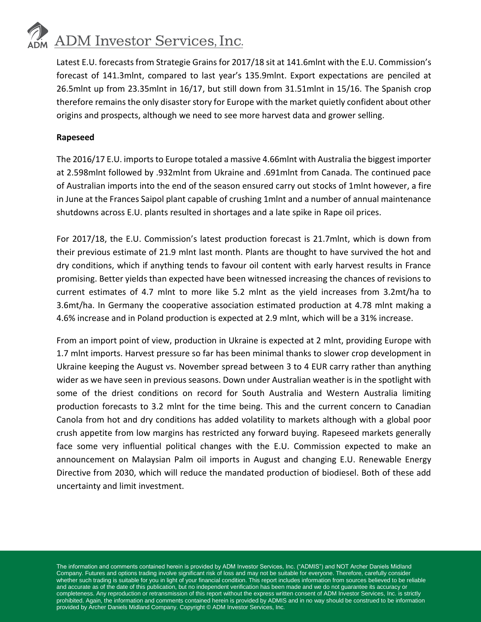# **ADM** Investor Services, Inc.

Latest E.U. forecasts from Strategie Grains for 2017/18 sit at 141.6mlnt with the E.U. Commission's forecast of 141.3mlnt, compared to last year's 135.9mlnt. Export expectations are penciled at 26.5mlnt up from 23.35mlnt in 16/17, but still down from 31.51mlnt in 15/16. The Spanish crop therefore remains the only disaster story for Europe with the market quietly confident about other origins and prospects, although we need to see more harvest data and grower selling.

## **Rapeseed**

The 2016/17 E.U. imports to Europe totaled a massive 4.66mlnt with Australia the biggest importer at 2.598mlnt followed by .932mlnt from Ukraine and .691mlnt from Canada. The continued pace of Australian imports into the end of the season ensured carry out stocks of 1mlnt however, a fire in June at the Frances Saipol plant capable of crushing 1mlnt and a number of annual maintenance shutdowns across E.U. plants resulted in shortages and a late spike in Rape oil prices.

For 2017/18, the E.U. Commission's latest production forecast is 21.7mlnt, which is down from their previous estimate of 21.9 mlnt last month. Plants are thought to have survived the hot and dry conditions, which if anything tends to favour oil content with early harvest results in France promising. Better yields than expected have been witnessed increasing the chances of revisions to current estimates of 4.7 mlnt to more like 5.2 mlnt as the yield increases from 3.2mt/ha to 3.6mt/ha. In Germany the cooperative association estimated production at 4.78 mlnt making a 4.6% increase and in Poland production is expected at 2.9 mlnt, which will be a 31% increase.

From an import point of view, production in Ukraine is expected at 2 mlnt, providing Europe with 1.7 mlnt imports. Harvest pressure so far has been minimal thanks to slower crop development in Ukraine keeping the August vs. November spread between 3 to 4 EUR carry rather than anything wider as we have seen in previous seasons. Down under Australian weather is in the spotlight with some of the driest conditions on record for South Australia and Western Australia limiting production forecasts to 3.2 mlnt for the time being. This and the current concern to Canadian Canola from hot and dry conditions has added volatility to markets although with a global poor crush appetite from low margins has restricted any forward buying. Rapeseed markets generally face some very influential political changes with the E.U. Commission expected to make an announcement on Malaysian Palm oil imports in August and changing E.U. Renewable Energy Directive from 2030, which will reduce the mandated production of biodiesel. Both of these add uncertainty and limit investment.

The information and comments contained herein is provided by ADM Investor Services, Inc. ("ADMIS") and NOT Archer Daniels Midland Company. Futures and options trading involve significant risk of loss and may not be suitable for everyone. Therefore, carefully consider whether such trading is suitable for you in light of your financial condition. This report includes information from sources believed to be reliable and accurate as of the date of this publication, but no independent verification has been made and we do not guarantee its accuracy or completeness. Any reproduction or retransmission of this report without the express written consent of ADM Investor Services, Inc. is strictly prohibited. Again, the information and comments contained herein is provided by ADMIS and in no way should be construed to be information provided by Archer Daniels Midland Company. Copyright © ADM Investor Services, Inc.